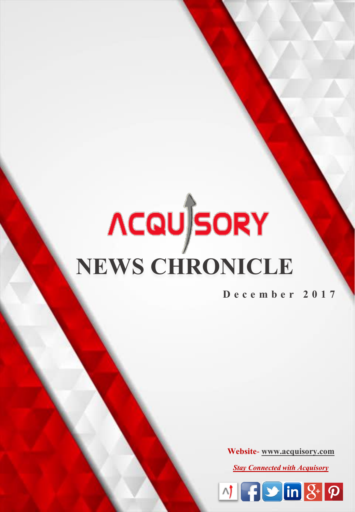# **NEWS CHRONICLE**

**D e c e m b e r 2 0 1 7**

**Website**- **[www.acquisory.com](http://www.acquisory.com/)**

*Stay Connected with Acquisory*

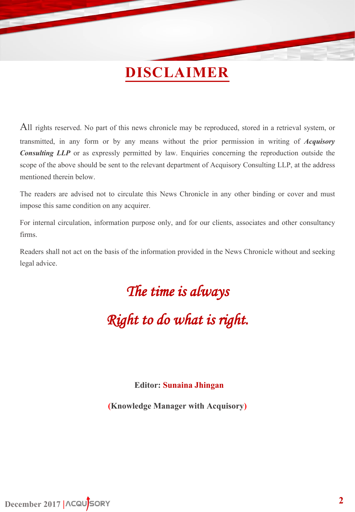# **DISCLAIMER**

All rights reserved. No part of this news chronicle may be reproduced, stored in a retrieval system, or transmitted, in any form or by any means without the prior permission in writing of *Acquisory Consulting LLP* or as expressly permitted by law. Enquiries concerning the reproduction outside the scope of the above should be sent to the relevant department of Acquisory Consulting LLP, at the address mentioned therein below.

The readers are advised not to circulate this News Chronicle in any other binding or cover and must impose this same condition on any acquirer.

For internal circulation, information purpose only, and for our clients, associates and other consultancy firms.

Readers shall not act on the basis of the information provided in the News Chronicle without and seeking legal advice.

# *The time is always*

*Right to do what is right.*

### **Editor: Sunaina Jhingan**

**(Knowledge Manager with Acquisory)**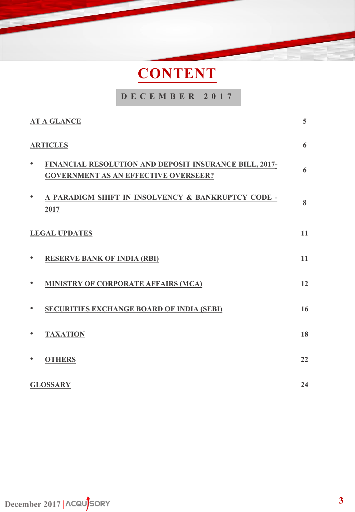# **CONTENT**

### **D E C E M B E R 2 0 1 7**

| <b>AT A GLANCE</b>                                                                                                 | $5\overline{)}$ |
|--------------------------------------------------------------------------------------------------------------------|-----------------|
| <b>ARTICLES</b>                                                                                                    | 6               |
| FINANCIAL RESOLUTION AND DEPOSIT INSURANCE BILL, 2017-<br>$\bullet$<br><b>GOVERNMENT AS AN EFFECTIVE OVERSEER?</b> | 6               |
| A PARADIGM SHIFT IN INSOLVENCY & BANKRUPTCY CODE -<br>$\bullet$<br>2017                                            | 8               |
| <b>LEGAL UPDATES</b>                                                                                               | 11              |
| <b>RESERVE BANK OF INDIA (RBI)</b>                                                                                 | 11              |
| MINISTRY OF CORPORATE AFFAIRS (MCA)                                                                                | 12              |
| <b>SECURITIES EXCHANGE BOARD OF INDIA (SEBI)</b><br>$\bullet$                                                      | 16              |
| <b>TAXATION</b><br>$\bullet$                                                                                       | 18              |
| <b>OTHERS</b>                                                                                                      | 22              |
| <b>GLOSSARY</b>                                                                                                    | 24              |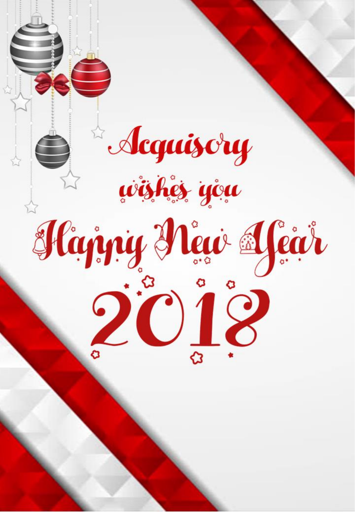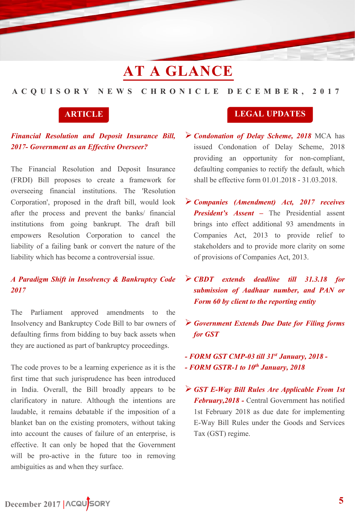# **AT A GLANCE**

### <span id="page-4-0"></span>**A C Q U I S O R Y N E W S C H R O N I C L E D E C E M B E R , 2 0 1 7**

### *Financial Resolution and Deposit Insurance Bill, 2017- Government as an Effective Overseer?*

The Financial Resolution and Deposit Insurance (FRDI) Bill proposes to create a framework for overseeing financial institutions. The 'Resolution Corporation', proposed in the draft bill, would look after the process and prevent the banks/ financial institutions from going bankrupt. The draft bill empowers Resolution Corporation to cancel the liability of a failing bank or convert the nature of the liability which has become a controversial issue.

### *A Paradigm Shift in Insolvency & Bankruptcy Code 2017*

The Parliament approved amendments to the Insolvency and Bankruptcy Code Bill to bar owners of defaulting firms from bidding to buy back assets when they are auctioned as part of bankruptcy proceedings.

The code proves to be a learning experience as it is the first time that such jurisprudence has been introduced in India. Overall, the Bill broadly appears to be clarificatory in nature. Although the intentions are laudable, it remains debatable if the imposition of a blanket ban on the existing promoters, without taking into account the causes of failure of an enterprise, is effective. It can only be hoped that the Government will be pro-active in the future too in removing ambiguities as and when they surface.

### **ARTICLE LEGAL UPDATES**

- *Condonation of Delay Scheme, 2018* MCA has issued Condonation of Delay Scheme, 2018 providing an opportunity for non-compliant, defaulting companies to rectify the default, which shall be effective form 01.01.2018 - 31.03.2018.
- *Companies (Amendment) Act, 2017 receives President's Assent –* The Presidential assent brings into effect additional 93 amendments in Companies Act, 2013 to provide relief to stakeholders and to provide more clarity on some of provisions of Companies Act, 2013.
- *CBDT extends deadline till 31.3.18 for submission of Aadhaar number, and PAN or Form 60 by client to the reporting entity*
- *Government Extends Due Date for Filing forms for GST*
- *- FORM GST CMP-03 till 31st January, 2018 - - FORM GSTR-1 to 10th January, 2018*
- *GST E-Way Bill Rules Are Applicable From 1st February,2018 -* Central Government has notified 1st February 2018 as due date for implementing E-Way Bill Rules under the Goods and Services Tax (GST) regime.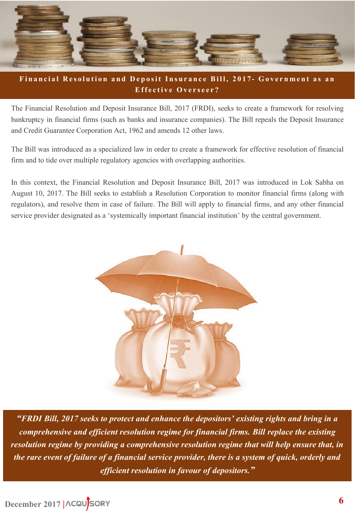<span id="page-5-0"></span>

### Financial Resolution and Deposit Insurance Bill, 2017- Government as an Effective Overseer?

The Financial Resolution and Deposit Insurance Bill, 2017 (FRDI), seeks to create a framework for resolving bankruptcy in financial firms (such as banks and insurance companies). The Bill repeals the Deposit Insurance and Credit Guarantee Corporation Act, 1962 and amends 12 other laws.

The Bill was introduced as a specialized law in order to create a framework for effective resolution of financial firm and to tide over multiple regulatory agencies with overlapping authorities.

In this context, the Financial Resolution and Deposit Insurance Bill, 2017 was introduced in Lok Sabha on August 10, 2017. The Bill seeks to establish a Resolution Corporation to monitor financial firms (along with regulators), and resolve them in case of failure. The Bill will apply to financial firms, and any other financial service provider designated as a 'systemically important financial institution' by the central government.



*"FRDI Bill, 2017 seeks to protect and enhance the depositors' existing rights and bring in a comprehensive and efficient resolution regime for financial firms. Bill replace the existing resolution regime by providing a comprehensive resolution regime that will help ensure that, in the rare event of failure of a financial service provider, there is a system of quick, orderly and efficient resolution in favour of depositors."*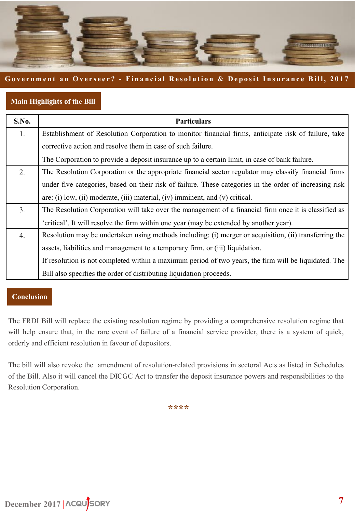

### **Government an Overseer? - Financial Resolution & Deposit Insurance Bill, 2017**

### **Main Highlights of the Bill**

| <b>S.No.</b> | <b>Particulars</b>                                                                                      |
|--------------|---------------------------------------------------------------------------------------------------------|
| 1.           | Establishment of Resolution Corporation to monitor financial firms, anticipate risk of failure, take    |
|              | corrective action and resolve them in case of such failure.                                             |
|              | The Corporation to provide a deposit insurance up to a certain limit, in case of bank failure.          |
| 2.           | The Resolution Corporation or the appropriate financial sector regulator may classify financial firms   |
|              | under five categories, based on their risk of failure. These categories in the order of increasing risk |
|              | are: (i) low, (ii) moderate, (iii) material, (iv) imminent, and (v) critical.                           |
| 3.           | The Resolution Corporation will take over the management of a financial firm once it is classified as   |
|              | 'critical'. It will resolve the firm within one year (may be extended by another year).                 |
| 4.           | Resolution may be undertaken using methods including: (i) merger or acquisition, (ii) transferring the  |
|              | assets, liabilities and management to a temporary firm, or (iii) liquidation.                           |
|              | If resolution is not completed within a maximum period of two years, the firm will be liquidated. The   |
|              | Bill also specifies the order of distributing liquidation proceeds.                                     |

### **Conclusion**

The FRDI Bill will replace the existing resolution regime by providing a comprehensive resolution regime that will help ensure that, in the rare event of failure of a financial service provider, there is a system of quick, orderly and efficient resolution in favour of depositors.

The bill will also revoke the amendment of resolution-related provisions in sectoral Acts as listed in Schedules of the Bill. Also it will cancel the DICGC Act to transfer the deposit insurance powers and responsibilities to the Resolution Corporation.

**\*\*\*\***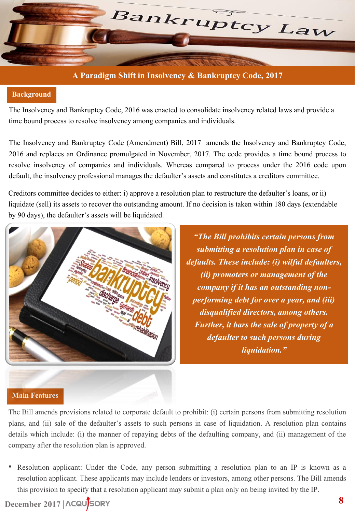<span id="page-7-0"></span>

### **A Paradigm Shift in Insolvency & Bankruptcy Code, 2017**

### **Background**

The Insolvency and Bankruptcy Code, 2016 was enacted to consolidate insolvency related laws and provide a time bound process to resolve insolvency among companies and individuals.

The Insolvency and Bankruptcy Code (Amendment) Bill, 2017 amends the Insolvency and Bankruptcy Code, 2016 and replaces an Ordinance promulgated in November, 2017. The code provides a time bound process to resolve insolvency of companies and individuals. Whereas compared to process under the 2016 code upon default, the insolvency professional manages the defaulter's assets and constitutes a creditors committee.

Creditors committee decides to either: i) approve a resolution plan to restructure the defaulter's loans, or ii) liquidate (sell) its assets to recover the outstanding amount. If no decision is taken within 180 days (extendable by 90 days), the defaulter's assets will be liquidated.



*"The Bill prohibits certain persons from submitting a resolution plan in case of defaults. These include: (i) wilful defaulters, (ii) promoters or management of the company if it has an outstanding nonperforming debt for over a year, and (iii) disqualified directors, among others. Further, it bars the sale of property of a defaulter to such persons during liquidation."*

### **Main Features**

The Bill amends provisions related to corporate default to prohibit: (i) certain persons from submitting resolution plans, and (ii) sale of the defaulter's assets to such persons in case of liquidation. A resolution plan contains details which include: (i) the manner of repaying debts of the defaulting company, and (ii) management of the company after the resolution plan is approved.

• Resolution applicant: Under the Code, any person submitting a resolution plan to an IP is known as a resolution applicant. These applicants may include lenders or investors, among other persons. The Bill amends this provision to specify that a resolution applicant may submit a plan only on being invited by the IP.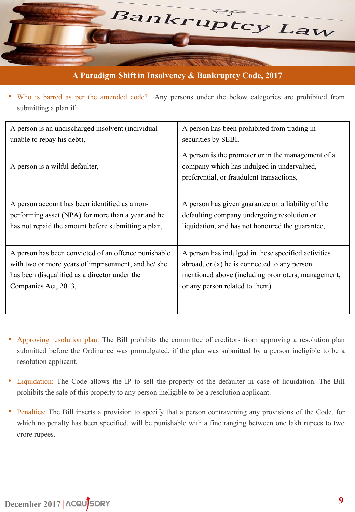

**A Paradigm Shift in Insolvency & Bankruptcy Code, 2017**

• Who is barred as per the amended code? Any persons under the below categories are prohibited from submitting a plan if:

| A person is an undischarged insolvent (individual    | A person has been prohibited from trading in                                                                                                  |
|------------------------------------------------------|-----------------------------------------------------------------------------------------------------------------------------------------------|
| unable to repay his debt),                           | securities by SEBI,                                                                                                                           |
| A person is a wilful defaulter,                      | A person is the promoter or in the management of a<br>company which has indulged in undervalued,<br>preferential, or fraudulent transactions, |
| A person account has been identified as a non-       | A person has given guarantee on a liability of the                                                                                            |
| performing asset (NPA) for more than a year and he   | defaulting company undergoing resolution or                                                                                                   |
| has not repaid the amount before submitting a plan,  | liquidation, and has not honoured the guarantee,                                                                                              |
| A person has been convicted of an offence punishable | A person has indulged in these specified activities                                                                                           |
| with two or more years of imprisonment, and he/ she  | abroad, or $(x)$ he is connected to any person                                                                                                |
| has been disqualified as a director under the        | mentioned above (including promoters, management,                                                                                             |
| Companies Act, 2013,                                 | or any person related to them)                                                                                                                |

- Approving resolution plan: The Bill prohibits the committee of creditors from approving a resolution plan submitted before the Ordinance was promulgated, if the plan was submitted by a person ineligible to be a resolution applicant.
- Liquidation: The Code allows the IP to sell the property of the defaulter in case of liquidation. The Bill prohibits the sale of this property to any person ineligible to be a resolution applicant.
- Penalties: The Bill inserts a provision to specify that a person contravening any provisions of the Code, for which no penalty has been specified, will be punishable with a fine ranging between one lakh rupees to two crore rupees.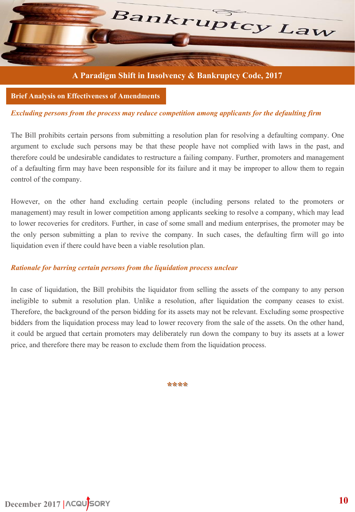

**A Paradigm Shift in Insolvency & Bankruptcy Code, 2017**

**Brief Analysis on Effectiveness of Amendments**

### *Excluding persons from the process may reduce competition among applicants for the defaulting firm*

The Bill prohibits certain persons from submitting a resolution plan for resolving a defaulting company. One argument to exclude such persons may be that these people have not complied with laws in the past, and therefore could be undesirable candidates to restructure a failing company. Further, promoters and management of a defaulting firm may have been responsible for its failure and it may be improper to allow them to regain control of the company.

However, on the other hand excluding certain people (including persons related to the promoters or management) may result in lower competition among applicants seeking to resolve a company, which may lead to lower recoveries for creditors. Further, in case of some small and medium enterprises, the promoter may be the only person submitting a plan to revive the company. In such cases, the defaulting firm will go into liquidation even if there could have been a viable resolution plan.

### *Rationale for barring certain persons from the liquidation process unclear*

In case of liquidation, the Bill prohibits the liquidator from selling the assets of the company to any person ineligible to submit a resolution plan. Unlike a resolution, after liquidation the company ceases to exist. Therefore, the background of the person bidding for its assets may not be relevant. Excluding some prospective bidders from the liquidation process may lead to lower recovery from the sale of the assets. On the other hand, it could be argued that certain promoters may deliberately run down the company to buy its assets at a lower price, and therefore there may be reason to exclude them from the liquidation process.

**\*\*\*\***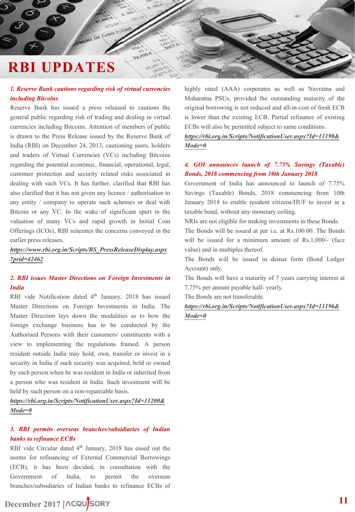# <span id="page-10-0"></span>**RBI UPDATES**

### *1. Reserve Bank cautions regarding risk of virtual currencies including Bitcoins*

MENT OF CASH FLOW

22.459

Reserve Bank has issued a press released to cautions the general public regarding risk of trading and dealing in virtual currencies including Bitcoins. Attention of members of public is drawn to the Press Release issued by the Reserve Bank of India (RBI) on December 24, 2013, cautioning users, holders and traders of Virtual Currencies (VCs) including Bitcoins regarding the potential economic, financial, operational, legal, customer protection and security related risks associated in dealing with such VCs. It has further, clarified that RBI has also clarified that it has not given any licence / authorisation to any entity / company to operate such schemes or deal with Bitcoin or any VC. In the wake of significant spurt in the valuation of many VCs and rapid growth in Initial Coin Offerings (ICOs), RBI reiterates the concerns conveyed in the earlier press releases.

*[https://www.rbi.org.in/Scripts/BS\\_PressReleaseDisplay.aspx](https://www.rbi.org.in/Scripts/BS_PressReleaseDisplay.aspx?prid=42462) ?prid=42462*

### *2. RBI issues Master Directions on Foreign Investments in India*

RBI vide Notification dated 4<sup>th</sup> January, 2018 has issued Master Directions on Foreign Investments in India. The Master Direction lays down the modalities as to how the foreign exchange business has to be conducted by the Authorised Persons with their customers/ constituents with a view to implementing the regulations framed. A person resident outside India may hold, own, transfer or invest in a security in India if such security was acquired, held or owned by such person when he was resident in India or inherited from a person who was resident in India. Such investment will be held by such person on a non-repatriable basis.

*[https://rbi.org.in/Scripts/NotificationUser.aspx?Id=11200&](https://rbi.org.in/Scripts/NotificationUser.aspx?Id=11200&Mode=0) Mode=0*

### *3. RBI permits overseas branches/subsidiaries of Indian banks to refinance ECBs*

RBI vide Circular dated 4<sup>th</sup> January, 2018 has eased out the norms for refinancing of External Commercial Borrowings (ECB), it has been decided, in consultation with the Government of India, to permit the overseas branches/subsidiaries of Indian banks to refinance ECBs of

**December 2017 |**

highly rated (AAA) corporates as well as Navratna and Maharatna PSUs, provided the outstanding maturity of the original borrowing is not reduced and all-in-cost of fresh ECB is lower than the existing ECB. Partial refinance of existing ECBs will also be permitted subject to same conditions.

*[https://rbi.org.in/Scripts/NotificationUser.aspx?Id=11198&](https://rbi.org.in/Scripts/NotificationUser.aspx?Id=11198&Mode=0) Mode=0*

### *4. GOI announces launch of 7.75% Savings (Taxable) Bonds, 2018 commencing from 10th January 2018*

Government of India has announced to launch of 7.75% Savings (Taxable) Bonds, 2018 commencing from 10th January 2018 to enable resident citizens/HUF to invest in a taxable bond, without any monetary ceiling.

NRIs are not eligible for making investments in these Bonds.

The Bonds will be issued at par i.e. at Rs.100.00. The Bonds will be issued for a minimum amount of Rs.1,000/- (face value) and in multiples thereof.

The Bonds will be issued in demat form (Bond Ledger Account) only.

The Bonds will have a maturity of 7 years carrying interest at 7.75% per annum payable half- yearly.

The Bonds are not transferable.

*[https://rbi.org.in/Scripts/NotificationUser.aspx?Id=11196&](https://rbi.org.in/Scripts/NotificationUser.aspx?Id=11196&Mode=0) Mode=0*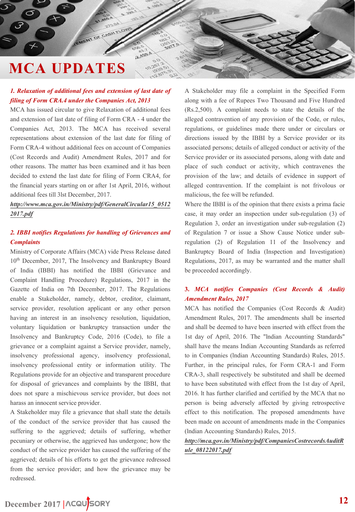### *1. Relaxation of additional fees and extension of last date of filing of Form CRA.4 under the Companies Act, 2013*

<span id="page-11-0"></span>EMENT OF CASH FLOW

2.459

MCA has issued circular to give Relaxation of additional fees and extension of last date of filing of Form CRA - 4 under the Companies Act, 2013. The MCA has received several representations about extension of the last date for filing of Form CRA-4 without additional fees on account of Companies (Cost Records and Audit) Amendment Rules, 2017 and for other reasons. The matter has been examined and it has been decided to extend the last date for filing of Form CRA4, for the financial years starting on or after 1st April, 2016, without additional fees till 3lst December, 2017.

*[http://www.mca.gov.in/Ministry/pdf/GeneralCircular15\\_0512](http://www.mca.gov.in/Ministry/pdf/GeneralCircular15_05122017.pdf) 2017.pdf*

### *2. IBBI notifies Regulations for handling of Grievances and Complaints*

Ministry of Corporate Affairs (MCA) vide Press Release dated 10<sup>th</sup> December, 2017, The Insolvency and Bankruptcy Board of India (IBBI) has notified the IBBI (Grievance and Complaint Handling Procedure) Regulations, 2017 in the Gazette of India on 7th December, 2017. The Regulations enable a Stakeholder, namely, debtor, creditor, claimant, service provider, resolution applicant or any other person having an interest in an insolvency resolution, liquidation, voluntary liquidation or bankruptcy transaction under the Insolvency and Bankruptcy Code, 2016 (Code), to file a grievance or a complaint against a Service provider, namely, insolvency professional agency, insolvency professional, insolvency professional entity or information utility. The Regulations provide for an objective and transparent procedure for disposal of grievances and complaints by the IBBI, that does not spare a mischievous service provider, but does not harass an innocent service provider.

A Stakeholder may file a grievance that shall state the details of the conduct of the service provider that has caused the suffering to the aggrieved; details of suffering, whether pecuniary or otherwise, the aggrieved has undergone; how the conduct of the service provider has caused the suffering of the aggrieved; details of his efforts to get the grievance redressed from the service provider; and how the grievance may be redressed.

A Stakeholder may file a complaint in the Specified Form along with a fee of Rupees Two Thousand and Five Hundred (Rs.2,500). A complaint needs to state the details of the alleged contravention of any provision of the Code, or rules, regulations, or guidelines made there under or circulars or directions issued by the IBBI by a Service provider or its associated persons; details of alleged conduct or activity of the Service provider or its associated persons, along with date and place of such conduct or activity, which contravenes the provision of the law; and details of evidence in support of alleged contravention. If the complaint is not frivolous or malicious, the fee will be refunded.

Where the IBBI is of the opinion that there exists a prima facie case, it may order an inspection under sub-regulation (3) of Regulation 3, order an investigation under sub-regulation (2) of Regulation 7 or issue a Show Cause Notice under subregulation (2) of Regulation 11 of the Insolvency and Bankruptcy Board of India (Inspection and Investigation) Regulations, 2017, as may be warranted and the matter shall be proceeded accordingly.

### **3.** *MCA notifies Companies (Cost Records & Audit) Amendment Rules, 2017*

MCA has notified the Companies (Cost Records & Audit) Amendment Rules, 2017. The amendments shall be inserted and shall be deemed to have been inserted with effect from the 1st day of April, 2016. The "lndian Accounting Standards" shall have the means Indian Accounting Standards as referred to in Companies (lndian Accounting Standards) Rules, 2015. Further, in the principal rules, for Form CRA-1 and Form CRA-3, shall respectively be substituted and shall be deemed to have been substituted with effect from the 1st day of April, 2016. lt has further clarified and certified by the MCA that no person is being adversely affected by giving retrospective effect to this notification. The proposed amendments have been made on account of amendments made in the Companies (lndian Accounting Standards) Rules, 2015.

*[http://mca.gov.in/Ministry/pdf/CompaniesCostrecordsAuditR](http://mca.gov.in/Ministry/pdf/CompaniesCostrecordsAuditRule_08122017.pdf) ule\_08122017.pdf*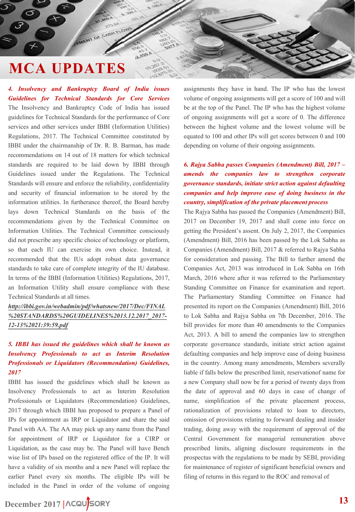EMENT OF CASH FLOW

2.459

*4. Insolvency and Bankruptcy Board of India issues Guidelines for Technical Standards for Core Services* The Insolvency and Bankruptcy Code of India has issued guidelines for Technical Standards for the performance of Core services and other services under IBBI (Information Utilities) Regulations, 2017. The Technical Committee constituted by IBBI under the chairmanship of Dr. R. B. Barman, has made recommendations on 14 out of 18 matters for which technical standards are required to be laid down by IBBI through Guidelines issued under the Regulations. The Technical Standards will ensure and enforce the reliability, confidentiality and security of financial information to be stored by the information utilities. In furtherance thereof, the Board hereby lays down Technical Standards on the basis of the recommendations given by the Technical Committee on Information Utilities. The Technical Committee consciously did not prescribe any specific choice of technology or platform, so that each IU can exercise its own choice. Instead, it recommended that the IUs adopt robust data governance standards to take care of complete integrity of the IU database. In terms of the IBBI (Information Utilities) Regulations, 2017, an Information Utility shall ensure compliance with these Technical Standards at all times.

*http://ibbi.gov.in/webadmin/pdf/whatsnew/2017/Dec/FINAL [%20STANDARDS%20GUIDELINES%2013.12.2017\\_2017-](http://ibbi.gov.in/webadmin/pdf/whatsnew/2017/Dec/FINAL STANDARDS GUIDELINES 13.12.2017_2017-12-13 21:39:59.pdf) 12-13%2021:39:59.pdf*

### *5. IBBI has issued the guidelines which shall be known as Insolvency Professionals to act as Interim Resolution Professionals or Liquidators (Recommendation) Guidelines, 2017*

IBBI has issued the guidelines which shall be known as Insolvency Professionals to act as Interim Resolution Professionals or Liquidators (Recommendation) Guidelines, 2017 through which IBBI has proposed to prepare a Panel of IPs for appointment as IRP or Liquidator and share the said Panel with AA. The AA may pick up any name from the Panel for appointment of IRP or Liquidator for a CIRP or Liquidation, as the case may be. The Panel will have Bench wise list of IPs based on the registered office of the IP. It will have a validity of six months and a new Panel will replace the earlier Panel every six months. The eligible IPs will be included in the Panel in order of the volume of ongoing

**December 2017 |**

assignments they have in hand. The IP who has the lowest volume of ongoing assignments will get a score of 100 and will be at the top of the Panel. The IP who has the highest volume of ongoing assignments will get a score of 0. The difference between the highest volume and the lowest volume will be equated to 100 and other IPs will get scores between 0 and 100 depending on volume of their ongoing assignments.

### *6. Rajya Sabha passes Companies (Amendment) Bill, 2017 – amends the companies law to strengthen corporate governance standards, initiate strict action against defaulting companies and help improve ease of doing business in the country, simplification of the private placement process*

The Rajya Sabha has passed the Companies (Amendment) Bill, 2017 on December 19, 2017 and shall come into force on getting the President's assent. On July 2, 2017, the Companies (Amendment) Bill, 2016 has been passed by the Lok Sabha as Companies (Amendment) Bill, 2017 & referred to Rajya Sabha for consideration and passing. The Bill to further amend the Companies Act, 2013 was introduced in Lok Sabha on 16th March, 2016 where after it was referred to the Parliamentary Standing Committee on Finance for examination and report. The Parliamentary Standing Committee on Finance had presented its report on the Companies (Amendment) Bill, 2016 to Lok Sabha and Rajya Sabha on 7th December, 2016. The bill provides for more than 40 amendments to the Companies Act, 2013. A bill to amend the companies law to strengthen corporate governance standards, initiate strict action against defaulting companies and help improve ease of doing business in the country. Among many amendments, Members severally liable if falls below the prescribed limit, reservationof name for a new Company shall now be for a period of twenty days from the date of approval and 60 days in case of change of name, simplification of the private placement process, rationalization of provisions related to loan to directors, omission of provisions relating to forward dealing and insider trading, doing away with the requirement of approval of the Central Government for managerial remuneration above prescribed limits, aligning disclosure requirements in the prospectus with the regulations to be made by SEBI, providing for maintenance of register of significant beneficial owners and filing of returns in this regard to the ROC and removal of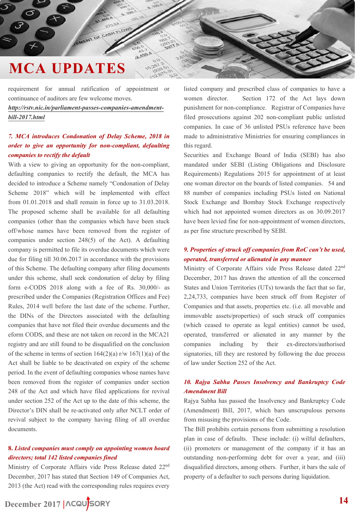requirement for annual ratification of appointment or continuance of auditors are few welcome moves.

EMENT OF CASH FLOW

2.459

*[http://rstv.nic.in/parliament-passes-companies-amendment](http://rstv.nic.in/parliament-passes-companies-amendment-bill-2017.html)bill-2017.html*

### *7. MCA introduces Condonation of Delay Scheme, 2018 in order to give an opportunity for non-compliant, defaulting companies to rectify the default*

With a view to giving an opportunity for the non-compliant, defaulting companies to rectify the default, the MCA has decided to introduce a Scheme namely "Condonation of Delay Scheme 2018" which will be implemented with effect from 01.01.2018 and shall remain in force up to 31.03.2018. The proposed scheme shall be available for all defaulting companies (other than the companies which have been stuck off/whose names have been removed from the register of companies under section 248(5) of the Act). A defaulting company is permitted to file its overdue documents which were due for filing till 30.06.2017 in accordance with the provisions of this Scheme. The defaulting company after filing documents under this scheme, shall seek condonation of delay by filing form e-CODS 2018 along with a fee of Rs. 30,000/- as prescribed under the Companies (Registration Offices and Fee) Rules, 2014 well before the last date of the scheme. Further, the DINs of the Directors associated with the defaulting companies that have not filed their overdue documents and the eform CODS, and these are not taken on record in the MCA21 registry and are still found to be disqualified on the conclusion of the scheme in terms of section  $164(2)(a)$  r/w  $167(1)(a)$  of the Act shall be liable to be deactivated on expiry of the scheme period. In the event of defaulting companies whose names have been removed from the register of companies under section 248 of the Act and which have filed applications for revival under section 252 of the Act up to the date of this scheme, the Director's DIN shall be re-activated only after NCLT order of revival subject to the company having filing of all overdue documents.

### **8.** *Listed companies must comply on appointing women board directors; total 142 listed companies fined*

Ministry of Corporate Affairs vide Press Release dated 22nd December, 2017 has stated that Section 149 of Companies Act, 2013 (the Act) read with the corresponding rules requires every

**December 2017 |**

listed company and prescribed class of companies to have a women director. Section 172 of the Act lays down punishment for non-compliance. Registrar of Companies have filed prosecutions against 202 non-compliant public unlisted companies. In case of 36 unlisted PSUs reference have been made to administrative Ministries for ensuring compliances in this regard.

Securities and Exchange Board of India (SEBI) has also mandated under SEBI (Listing Obligations and Disclosure Requirements) Regulations 2015 for appointment of at least one woman director on the boards of listed companies. 54 and 88 number of companies including PSUs listed on National Stock Exchange and Bombay Stock Exchange respectively which had not appointed women directors as on 30.09.2017 have been levied fine for non-appointment of women directors, as per fine structure prescribed by SEBI.

### *9. Properties of struck off companies from RoC can't be used, operated, transferred or alienated in any manner*

Ministry of Corporate Affairs vide Press Release dated 22nd December, 2017 has drawn the attention of all the concerned States and Union Territories (UTs) towards the fact that so far, 2,24,733, companies have been struck off from Register of Companies and that assets, properties etc. (i.e. all movable and immovable assets/properties) of such struck off companies (which ceased to operate as legal entities) cannot be used, operated, transferred or alienated in any manner by the companies including by their ex-directors/authorised signatories, till they are restored by following the due process of law under Section 252 of the Act.

### *10. Rajya Sabha Passes Insolvency and Bankruptcy Code Amendment Bill*

Rajya Sabha has passed the Insolvency and Bankruptcy Code (Amendment) Bill, 2017, which bars unscrupulous persons from misusing the provisions of the Code.

The Bill prohibits certain persons from submitting a resolution plan in case of defaults. These include: (i) wilful defaulters, (ii) promoters or management of the company if it has an outstanding non-performing debt for over a year, and (iii) disqualified directors, among others. Further, it bars the sale of property of a defaulter to such persons during liquidation.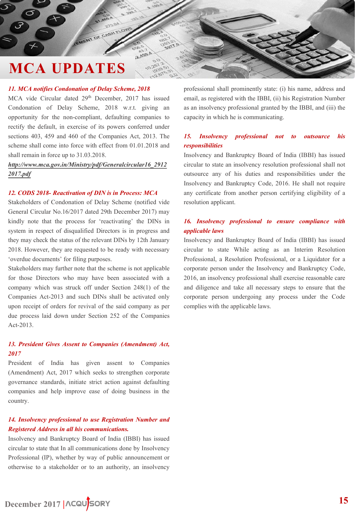### *11. MCA notifies Condonation of Delay Scheme, 2018*

MCA vide Circular dated 29<sup>th</sup> December, 2017 has issued Condonation of Delay Scheme, 2018 w.r.t. giving an opportunity for the non-compliant, defaulting companies to rectify the default, in exercise of its powers conferred under sections 403, 459 and 460 of the Companies Act, 2013. The scheme shall come into force with effect from 01.01.2018 and shall remain in force up to 31.03.2018.

MENT OF CASH FLOW

2.459

*[http://www.mca.gov.in/Ministry/pdf/Generalcircular16\\_2912](http://www.mca.gov.in/Ministry/pdf/Generalcircular16_29122017.pdf) 2017.pdf*

### *12. CODS 2018- Reactivation of DIN is in Process: MCA*

Stakeholders of Condonation of Delay Scheme (notified vide General Circular No.16/2017 dated 29th December 2017) may kindly note that the process for 'reactivating' the DINs in system in respect of disqualified Directors is in progress and they may check the status of the relevant DINs by 12th January 2018. However, they are requested to be ready with necessary 'overdue documents' for filing purposes.

Stakeholders may further note that the scheme is not applicable for those Directors who may have been associated with a company which was struck off under Section 248(1) of the Companies Act-2013 and such DINs shall be activated only upon receipt of orders for revival of the said company as per due process laid down under Section 252 of the Companies Act-2013.

### *13. President Gives Assent to Companies (Amendment) Act, 2017*

President of India has given assent to Companies (Amendment) Act, 2017 which seeks to strengthen corporate governance standards, initiate strict action against defaulting companies and help improve ease of doing business in the country.

### *14. Insolvency professional to use Registration Number and Registered Address in all his communications.*

Insolvency and Bankruptcy Board of India (IBBI) has issued circular to state that In all communications done by Insolvency Professional (IP), whether by way of public announcement or otherwise to a stakeholder or to an authority, an insolvency professional shall prominently state: (i) his name, address and email, as registered with the IBBI, (ii) his Registration Number as an insolvency professional granted by the IBBI, and (iii) the capacity in which he is communicating.

### *15. Insolvency professional not to outsource his responsibilities*

Insolvency and Bankruptcy Board of India (IBBI) has issued circular to state an insolvency resolution professional shall not outsource any of his duties and responsibilities under the Insolvency and Bankruptcy Code, 2016. He shall not require any certificate from another person certifying eligibility of a resolution applicant.

### *16. Insolvency professional to ensure compliance with applicable laws*

Insolvency and Bankruptcy Board of India (IBBI) has issued circular to state While acting as an Interim Resolution Professional, a Resolution Professional, or a Liquidator for a corporate person under the Insolvency and Bankruptcy Code, 2016, an insolvency professional shall exercise reasonable care and diligence and take all necessary steps to ensure that the corporate person undergoing any process under the Code complies with the applicable laws.

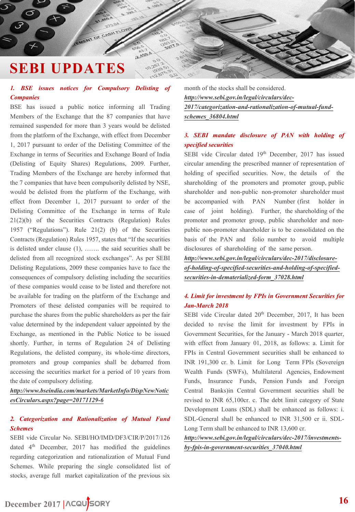# <span id="page-15-0"></span>**SEBI UPDATES**

### *1. BSE issues notices for Compulsory Delisting of Companies*

EMENT OF CASH FLOW

2.459

BSE has issued a public notice informing all Trading Members of the Exchange that the 87 companies that have remained suspended for more than 3 years would be delisted from the platform of the Exchange, with effect from December 1, 2017 pursuant to order of the Delisting Committee of the Exchange in terms of Securities and Exchange Board of India (Delisting of Equity Shares) Regulations, 2009. Further, Trading Members of the Exchange are hereby informed that the 7 companies that have been compulsorily delisted by NSE, would be delisted from the platform of the Exchange, with effect from December 1, 2017 pursuant to order of the Delisting Committee of the Exchange in terms of Rule 21(2)(b) of the Securities Contracts (Regulation) Rules 1957 ("Regulations"). Rule 21(2) (b) of the Securities Contracts (Regulation) Rules 1957, states that "If the securities is delisted under clause (1), ……. the said securities shall be delisted from all recognized stock exchanges". As per SEBI Delisting Regulations, 2009 these companies have to face the consequences of compulsory delisting including the securities of these companies would cease to be listed and therefore not be available for trading on the platform of the Exchange and Promoters of these delisted companies will be required to purchase the shares from the public shareholders as per the fair value determined by the independent valuer appointed by the Exchange, as mentioned in the Public Notice to be issued shortly. Further, in terms of Regulation 24 of Delisting Regulations, the delisted company, its whole-time directors, promoters and group companies shall be debarred from accessing the securities market for a period of 10 years from the date of compulsory delisting.

*[http://www.bseindia.com/markets/MarketInfo/DispNewNotic](http://www.bseindia.com/markets/MarketInfo/DispNewNoticesCirculars.aspx?page=20171129-6) esCirculars.aspx?page=20171129-6*

### *2. Categorization and Rationalization of Mutual Fund Schemes*

SEBI vide Circular No. SEBI/HO/IMD/DF3/CIR/P/2017/126 dated 4<sup>th</sup> December, 2017 has modified the guidelines regarding categorization and rationalization of Mutual Fund Schemes. While preparing the single consolidated list of stocks, average full market capitalization of the previous six

month of the stocks shall be considered. *http://www.sebi.gov.in/legal/circulars/dec-[2017/categorization-and-rationalization-of-mutual-fund](http://www.sebi.gov.in/legal/circulars/dec-2017/categorization-and-rationalization-of-mutual-fund-schemes_36804.html)schemes\_36804.html*

### *3. SEBI mandate disclosure of PAN with holding of specified securities*

SEBI vide Circular dated 19th December, 2017 has issued circular amending the prescribed manner of representation of holding of specified securities. Now, the details of the shareholding of the promoters and promoter group, public shareholder and non-public non-promoter shareholder must be accompanied with PAN Number (first holder in case of joint holding). Further, the shareholding of the promoter and promoter group, public shareholder and nonpublic non-promoter shareholder is to be consolidated on the basis of the PAN and folio number to avoid multiple disclosures of shareholding of the same person.

*http://www.sebi.gov.in/legal/circulars/dec-2017/disclosure[of-holding-of-specified-securities-and-holding-of-specified](http://www.sebi.gov.in/legal/circulars/dec-2017/disclosure-of-holding-of-specified-securities-and-holding-of-specified-securities-in-dematerialized-form_37028.html)securities-in-dematerialized-form\_37028.html*

### *4. Limit for investment by FPIs in Government Securities for Jan-March 2018*

SEBI vide Circular dated 20<sup>th</sup> December, 2017, It has been decided to revise the limit for investment by FPIs in Government Securities, for the January - March 2018 quarter, with effect from January 01, 2018, as follows: a. Limit for FPIs in Central Government securities shall be enhanced to INR 191,300 cr. b. Limit for Long Term FPIs (Sovereign Wealth Funds (SWFs), Multilateral Agencies, Endowment Funds, Insurance Funds, Pension Funds and Foreign Central Banks)in Central Government securities shall be revised to INR 65,100cr. c. The debt limit category of State Development Loans (SDL) shall be enhanced as follows: i. SDL-General shall be enhanced to INR 31,500 cr ii. SDL-Long Term shall be enhanced to INR 13,600 cr.

*[http://www.sebi.gov.in/legal/circulars/dec-2017/investments](http://www.sebi.gov.in/legal/circulars/dec-2017/investments-by-fpis-in-government-securities_37040.html)by-fpis-in-government-securities\_37040.html*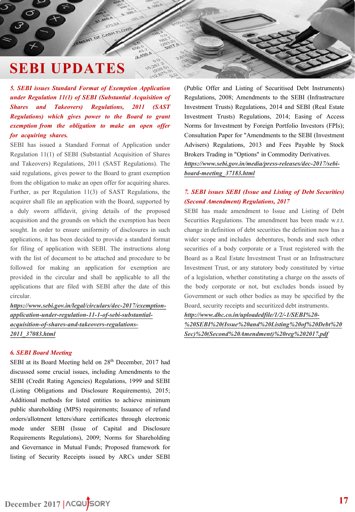# **SEBI UPDATES**

*5. SEBI issues Standard Format of Exemption Application under Regulation 11(1) of SEBI (Substantial Acquisition of Shares and Takeovers) Regulations, 2011 (SAST Regulations) which gives power to the Board to grant exemption from the obligation to make an open offer for acquiring shares.*

MENT OF CASH FLOW

2.459

SEBI has issued a Standard Format of Application under Regulation 11(1) of SEBI (Substantial Acquisition of Shares and Takeovers) Regulations, 2011 (SAST Regulations). The said regulations, gives power to the Board to grant exemption from the obligation to make an open offer for acquiring shares. Further, as per Regulation 11(3) of SAST Regulations, the acquirer shall file an application with the Board, supported by a duly sworn affidavit, giving details of the proposed acquisition and the grounds on which the exemption has been sought. In order to ensure uniformity of disclosures in such applications, it has been decided to provide a standard format for filing of application with SEBI. The instructions along with the list of document to be attached and procedure to be followed for making an application for exemption are provided in the circular and shall be applicable to all the applications that are filed with SEBI after the date of this circular.

*https://www.sebi.gov.in/legal/circulars/dec-2017/exemption[application-under-regulation-11-1-of-sebi-substantial](https://www.sebi.gov.in/legal/circulars/dec-2017/exemption-application-under-regulation-11-1-of-sebi-substantial-acquisition-of-shares-and-takeovers-regulations-2011_37083.html)acquisition-of-shares-and-takeovers-regulations-2011\_37083.html*

### *6. SEBI Board Meeting*

SEBI at its Board Meeting held on 28<sup>th</sup> December, 2017 had discussed some crucial issues, including Amendments to the SEBI (Credit Rating Agencies) Regulations, 1999 and SEBI (Listing Obligations and Disclosure Requirements), 2015; Additional methods for listed entities to achieve minimum public shareholding (MPS) requirements; Issuance of refund orders/allotment letters/share certificates through electronic mode under SEBI (Issue of Capital and Disclosure Requirements Regulations), 2009; Norms for Shareholding and Governance in Mutual Funds; Proposed framework for listing of Security Receipts issued by ARCs under SEBI

(Public Offer and Listing of Securitised Debt Instruments) Regulations, 2008; Amendments to the SEBI (Infrastructure Investment Trusts) Regulations, 2014 and SEBI (Real Estate Investment Trusts) Regulations, 2014; Easing of Access Norms for Investment by Foreign Portfolio Investors (FPIs); Consultation Paper for "Amendments to the SEBI (Investment Advisers) Regulations, 2013 and Fees Payable by Stock Brokers Trading in "Options" in Commodity Derivatives. *[https://www.sebi.gov.in/media/press-releases/dec-2017/sebi](https://www.sebi.gov.in/media/press-releases/dec-2017/sebi-board-meeting_37183.html)board-meeting\_37183.html*

### *7. SEBI issues SEBI (Issue and Listing of Debt Securities) (Second Amendment) Regulations, 2017*

SEBI has made amendment to Issue and Listing of Debt Securities Regulations. The amendment has been made w.r.t. change in definition of debt securities the definition now has a wider scope and includes debentures, bonds and such other securities of a body corporate or a Trust registered with the Board as a Real Estate Investment Trust or an Infrastructure Investment Trust, or any statutory body constituted by virtue of a legislation, whether constituting a charge on the assets of the body corporate or not, but excludes bonds issued by Government or such other bodies as may be specified by the Board, security receipts and securitized debt instruments.

*http://www.dhc.co.in/uploadedfile/1/2/-1/SEBI%20-*

*[%20SEBI%20\(Issue%20and%20Listing%20of%20Debt%20](http://www.dhc.co.in/uploadedfile/1/2/-1/SEBI - SEBI (Issue and Listing of Debt Sec) (Second Amendment) reg 2017.pdf) Sec)%20(Second%20Amendment)%20reg%202017.pdf*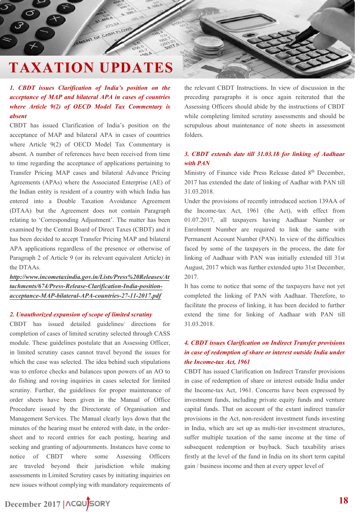<span id="page-17-0"></span>EMENT OF CASH FLOW

### *1. CBDT issues Clarification of India's position on the acceptance of MAP and bilateral APA in cases of countries where Article 9(2) of OECD Model Tax Commentary is absent*

CBDT has issued Clarification of India's position on the acceptance of MAP and bilateral APA in cases of countries where Article 9(2) of OECD Model Tax Commentary is absent. A number of references have been received from time to time regarding the acceptance of applications pertaining to Transfer Pricing MAP cases and bilateral Advance Pricing Agreements (APAs) where the Associated Enterprise (AE) of the Indian entity is resident of a country with which India has entered into a Double Taxation Avoidance Agreement (DTAA) but the Agreement does not contain Paragraph relating to 'Corresponding Adjustment'. The matter has been examined by the Central Board of Direct Taxes (CBDT) and it has been decided to accept Transfer Pricing MAP and bilateral APA applications regardless of the presence or otherwise of Paragraph 2 of Article 9 (or its relevant equivalent Article) in the DTAAs.

*http://www.incometaxindia.gov.in/Lists/Press%20Releases/At [tachments/674/Press-Release-Clarification-India-position](http://www.incometaxindia.gov.in/Lists/Press Releases/Attachments/674/Press-Release-Clarification-India-position-acceptance-MAP-bilateral-APA-countries-27-11-2017.pdf)acceptance-MAP-bilateral-APA-countries-27-11-2017.pdf*

### *2. Unauthorized expansion of scope of limited scrutiny*

CBDT has issued detailed guidelines/ directions for completion of cases of limited scrutiny selected through CASS module. These guidelines postulate that an Assessing Officer, in limited scrutiny cases cannot travel beyond the issues for which the case was selected. The idea behind such stipulations was to enforce checks and balances upon powers of an AO to do fishing and roving inquiries in cases selected for limited scrutiny. Further, the guidelines for proper maintenance of order sheets have been given in the Manual of Office Procedure issued by the Directorate of Organisation and Management Services. The Manual clearly lays down that the minutes of the hearing must be entered with date, in the ordersheet and to record entries for each posting, hearing and seeking and granting of adjournments. Instances have come to notice of CBDT where some Assessing Officers are traveled beyond their jurisdiction while making assessments in Limited Scrutiny cases by initiating inquiries on new issues without complying with mandatory requirements of

### the relevant CBDT Instructions. In view of discussion in the preceding paragraphs it is once again reiterated that the Assessing Officers should abide by the instructions of CBDT while completing limited scrutiny assessments and should be scrupulous about maintenance of note sheets in assessment folders.

### *3. CBDT extends date till 31.03.18 for linking of Aadhaar with PAN*

Ministry of Finance vide Press Release dated 8<sup>th</sup> December, 2017 has extended the date of linking of Aadhar with PAN till 31.03.2018.

Under the provisions of recently introduced section 139AA of the Income-tax Act, 1961 (the Act), with effect from 01.07.2017, all taxpayers having Aadhaar Number or Enrolment Number are required to link the same with Permanent Account Number (PAN). In view of the difficulties faced by some of the taxpayers in the process, the date for linking of Aadhaar with PAN was initially extended till 31st August, 2017 which was further extended upto 31st December, 2017.

It has come to notice that some of the taxpayers have not yet completed the linking of PAN with Aadhaar. Therefore, to facilitate the process of linking, it has been decided to further extend the time for linking of Aadhaar with PAN till 31.03.2018.

### *4. CBDT issues Clarification on Indirect Transfer provisions in case of redemption of share or interest outside India under the Income-tax Act, 1961*

CBDT has issued Clarification on Indirect Transfer provisions in case of redemption of share or interest outside India under the Income-tax Act, 1961. Concerns have been expressed by investment funds, including private equity funds and venture capital funds. That on account of the extant indirect transfer provisions in the Act, non-resident investment funds investing in India, which are set up as multi-tier investment structures, suffer multiple taxation of the same income at the time of subsequent redemption or buyback. Such taxability arises firstly at the level of the fund in India on its short term capital gain / business income and then at every upper level of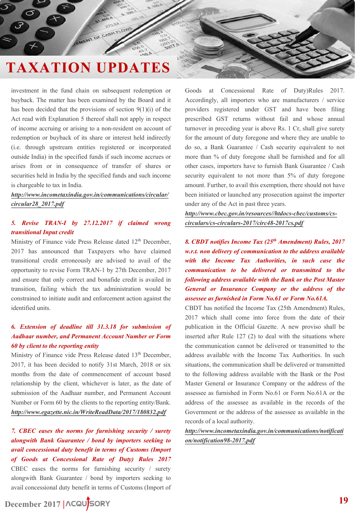EMENT OF CASH FLOW

investment in the fund chain on subsequent redemption or buyback. The matter has been examined by the Board and it has been decided that the provisions of section  $9(1)(i)$  of the Act read with Explanation 5 thereof shall not apply in respect of income accruing or arising to a non-resident on account of redemption or buyback of its share or interest held indirectly (i.e. through upstream entities registered or incorporated outside India) in the specified funds if such income accrues or arises from or in consequence of transfer of shares or securities held in India by the specified funds and such income is chargeable to tax in India.

*[http://www.incometaxindia.gov.in/communications/circular/](http://www.incometaxindia.gov.in/communications/circular/circular28_2017.pdf) circular28\_2017.pdf*

### *5. Revise TRAN-I by 27.12.2017 if claimed wrong transitional Input credit*

Ministry of Finance vide Press Release dated 12<sup>th</sup> December, 2017 has announced that Taxpayers who have claimed transitional credit erroneously are advised to avail of the opportunity to revise Form TRAN-1 by 27th December, 2017 and ensure that only correct and bonafide credit is availed in transition, failing which the tax administration would be constrained to initiate audit and enforcement action against the identified units.

### *6. Extension of deadline till 31.3.18 for submission of Aadhaar number, and Permanent Account Number or Form 60 by client to the reporting entity*

Ministry of Finance vide Press Release dated 13<sup>th</sup> December, 2017, it has been decided to notify 31st March, 2018 or six months from the date of commencement of account based relationship by the client, whichever is later, as the date of submission of the Aadhaar number, and Permanent Account Number or Form 60 by the clients to the reporting entity/Bank. *<http://www.egazette.nic.in/WriteReadData/2017/180832.pdf>*

*7. CBEC eases the norms for furnishing security / surety alongwith Bank Guarantee / bond by importers seeking to avail concessional duty benefit in terms of Customs (Import of Goods at Concessional Rate of Duty) Rules 2017* CBEC eases the norms for furnishing security / surety alongwith Bank Guarantee / bond by importers seeking to avail concessional duty benefit in terms of Customs (Import of

Goods at Concessional Rate of Duty)Rules 2017. Accordingly, all importers who are manufacturers / service providers registered under GST and have been filing prescribed GST returns without fail and whose annual turnover in preceding year is above Rs. 1 Cr, shall give surety for the amount of duty foregone and where they are unable to do so, a Bank Guarantee / Cash security equivalent to not more than % of duty foregone shall be furnished and for all other cases, importers have to furnish Bank Guarantee / Cash security equivalent to not more than 5% of duty foregone amount. Further, to avail this exemption, there should not have been initiated or launched any prosecution against the importer under any of the Act in past three years.

*http://www.cbec.gov.in/resources//htdocs-cbec/customs/cs[circulars/cs-circulars-2017/circ48-2017cs.pdf](http://www.cbec.gov.in/resources/htdocs-cbec/customs/cs-circulars/cs-circulars-2017/circ48-2017cs.pdf)*

*8. CBDT notifies Income Tax (25th Amendment) Rules, 2017 w.r.t. non delivery of communication to the address available with the Income Tax Authorities, in such case the communication to be delivered or transmitted to the following address available with the Bank or the Post Master General or Insurance Company or the address of the assessee as furnished in Form No.61 or Form No.61A.*

CBDT has notified the Income Tax (25th Amendment) Rules, 2017 which shall come into force from the date of their publication in the Official Gazette. A new proviso shall be inserted after Rule 127 (2) to deal with the situations where the communication cannot be delivered or transmitted to the address available with the Income Tax Authorities. In such situations, the communication shall be delivered or transmitted to the following address available with the Bank or the Post Master General or Insurance Company or the address of the assessee as furnished in Form No.61 or Form No.61A or the address of the assessee as available in the records of the Government or the address of the assessee as available in the records of a local authority.

*[http://www.incometaxindia.gov.in/communications/notificati](http://www.incometaxindia.gov.in/communications/notification/notification98-2017.pdf) on/notification98-2017.pdf*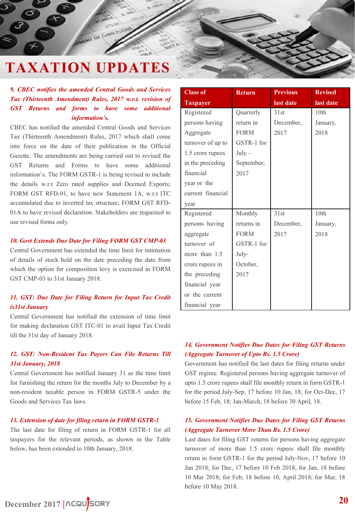MENT OF CASH

### *9. CBEC notifies the amended Central Goods and Services Tax (Thirteenth Amendment) Rules, 2017 w.r.t. revision of GST Returns and forms to have some additional information's.*

CBEC has notified the amended Central Goods and Services Tax (Thirteenth Amendment) Rules, 2017 which shall come into force on the date of their publication in the Official Gazette. The amendments are being carried out to revised the GST Returns and Forms to have some additional information's. The FORM GSTR-1 is being revised to include the details w.r.t Zero rated supplies and Deemed Exports; FORM GST RFD-01, to have new Statement 1A, w.r.t ITC accumulated due to inverted tax structure; FORM GST RFD-01A to have revised declaration. Stakeholders are requested to use revised forms only.

### *10. Govt Extends Due Date for Filing FORM GST CMP-03*

Central Government has extended the time limit for intimation of details of stock held on the date preceding the date from which the option for composition levy is exercised in FORM GST CMP-03 to 31st January 2018.

### *11. GST: Due Date for Filing Return for Input Tax Credit is31st January*

Central Government has notified the extension of time limit for making declaration GST ITC-01 to avail Input Tax Credit till the 31st day of January 2018.

### *12. GST: Non-Resident Tax Payers Can File Returns Till 31st January, 2018*

Central Government has notified January 31 as the time limit for furnishing the return for the months July to December by a non-resident taxable person in FORM GSTR-5 under the Goods and Services Tax laws.

### *13. Extension of date for filing return in FORM GSTR-1*

The last date for filing of return in FORM GSTR-1 for all taxpayers for the relevant periods, as shown in the Table below, has been extended to 10th January, 2018.

| <b>Class of</b>   | <b>Return</b> | <b>Previous</b> | <b>Revised</b> |
|-------------------|---------------|-----------------|----------------|
| <b>Taxpayer</b>   |               | last date       | last date      |
| Registered        | Quarterly     | 31st            | 10th           |
| persons having    | return in     | December,       | January,       |
| Aggregate         | <b>FORM</b>   | 2017            | 2018           |
| turnover of up to | GSTR-1 for    |                 |                |
| 1.5 crore rupees  | $July -$      |                 |                |
| in the preceding  | September,    |                 |                |
| financial         | 2017          |                 |                |
| year or the       |               |                 |                |
| current financial |               |                 |                |
| year              |               |                 |                |
| Registered        | Monthly       | 31st            | 10th           |
| persons having    | returns in    | December,       | January,       |
| aggregate         | <b>FORM</b>   | 2017            | 2018           |
| turnover of       | GSTR-1 for    |                 |                |
| more than 1.5     | July-         |                 |                |
| crore rupees in   | October,      |                 |                |
| the preceding     | 2017          |                 |                |
| financial year    |               |                 |                |
| or the current    |               |                 |                |
| financial year    |               |                 |                |

### *14. Government Notifies Due Dates for Filing GST Returns (Aggregate Turnover of Upto Rs. 1.5 Crore)*

Government has notified the last dates for filing returns under GST regime. Registered persons having aggregate turnover of upto 1.5 crore rupees shall file monthly return in form GSTR-1 for the period July-Sep, 17 before 10 Jan, 18; for Oct-Dec, 17 before 15 Feb, 18; Jan-March, 18 before 30 April, 18.

### *15. Government Notifies Due Dates for Filing GST Returns (Aggregate Turnover More Than Rs. 1.5 Crore)*

Last dates for filing GST returns for persons having aggregate turnover of more than 1.5 crore rupees shall file monthly return in form GSTR-1 for the period July-Nov, 17 before 10 Jan 2018; for Dec, 17 before 10 Feb 2018; for Jan, 18 before 10 Mar 2018; for Feb, 18 before 10, April 2018; for Mar, 18 before 10 May 2018.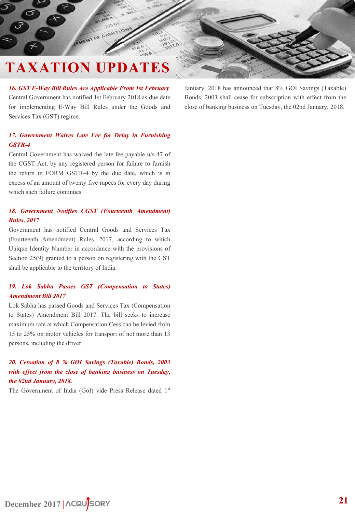MENT OF CASH

*16. GST E-Way Bill Rules Are Applicable From 1st February* Central Government has notified 1st February 2018 as due date for implementing E-Way Bill Rules under the Goods and Services Tax (GST) regime.

### *17. Government Waives Late Fee for Delay in Furnishing GSTR-4*

Central Government has waived the late fee payable u/s 47 of the CGST Act, by any registered person for failure to furnish the return in FORM GSTR-4 by the due date, which is in excess of an amount of twenty five rupees for every day during which such failure continues.

### *18. Government Notifies CGST (Fourteenth Amendment) Rules, 2017*

Government has notified Central Goods and Services Tax (Fourteenth Amendment) Rules, 2017, according to which Unique Identity Number in accordance with the provisions of Section 25(9) granted to a person on registering with the GST shall be applicable to the territory of India.

### *19. Lok Sabha Passes GST (Compensation to States) Amendment Bill 2017*

Lok Sabha has passed Goods and Services Tax (Compensation to States) Amendment Bill 2017. The bill seeks to increase maximum rate at which Compensation Cess can be levied from 15 to 25% on motor vehicles for transport of not more than 13 persons, including the driver.

### *20. Cessation of 8 % GOI Savings (Taxable) Bonds, 2003 with effect from the close of banking business on Tuesday, the 02nd January, 2018.*

The Government of India (GoI) vide Press Release dated 1st

January, 2018 has announced that 8% GOI Savings (Taxable) Bonds, 2003 shall cease for subscription with effect from the close of banking business on Tuesday, the 02nd January, 2018.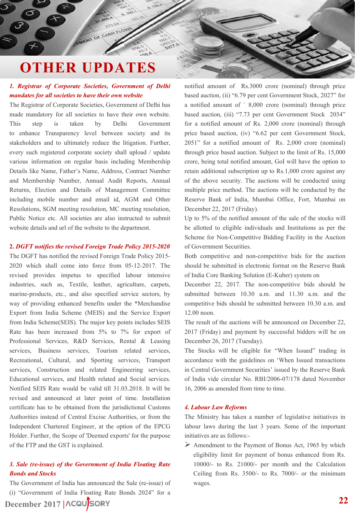# <span id="page-21-0"></span>**OTHER UPDATES**

EMENT OF CASH ELOW

### *1. Registrar of Corporate Societies, Government of Delhi mandates for all societies to have their own website*

The Registrar of Corporate Societies, Government of Delhi has made mandatory for all societies to have their own website. This step is taken by Delhi Government to enhance Transparency level between society and its stakeholders and to ultimately reduce the litigation. Further, every such registered corporate society shall upload / update various information on regular basis including Membership Details like Name, Father's Name, Address, Contract Number and Membership Number, Annual Audit Reports, Annual Returns, Election and Details of Management Committee including mobile number and email id, AGM and Other Resolutions, SGM meeting resolution, MC meeting resolution, Public Notice etc. All societies are also instructed to submit website details and url of the website to the department.

### **2.** *DGFT notifies the revised Foreign Trade Policy 2015-2020*

The DGFT has notified the revised Foreign Trade Policy 2015- 2020 which shall come into force from 05-12-2017. The revised provides impetus to specified labour intensive industries, such as, Textile, leather, agriculture, carpets, marine-products, etc., and also specified service sectors, by way of providing enhanced benefits under the \*Merchandise Export from India Scheme (MEIS) and the Service Export from India Scheme(SEIS). The major key points includes SEIS Rate has been increased from 5% to 7% for export of Professional Services, R&D Services, Rental & Leasing services, Business services, Tourism related services, Recreational, Cultural, and Sporting services, Transport services, Construction and related Engineering services, Educational services, and Health related and Social services. Notified SEIS Rate would be valid till 31.03.2018. It will be revised and announced at later point of time. Installation certificate has to be obtained from the jurisdictional Customs Authorities instead of Central Excise Authorities, or from the Independent Chartered Engineer, at the option of the EPCG Holder. Further, the Scope of 'Deemed exports' for the purpose of the FTP and the GST is explained.

### *3. Sale (re-issue) of the Government of India Floating Rate Bonds and Stocks*

The Government of India has announced the Sale (re-issue) of (i) "Government of India Floating Rate Bonds 2024" for a

### **December 2017 |**

notified amount of Rs.3000 crore (nominal) through price based auction, (ii) "6.79 per cent Government Stock, 2027" for a notified amount of ` 8,000 crore (nominal) through price based auction, (iii) "7.73 per cent Government Stock 2034" for a notified amount of Rs. 2,000 crore (nominal) through price based auction, (iv) "6.62 per cent Government Stock, 2051" for a notified amount of Rs. 2,000 crore (nominal) through price based auction. Subject to the limit of Rs. 15,000 crore, being total notified amount, GoI will have the option to retain additional subscription up to Rs.1,000 crore against any of the above security. The auctions will be conducted using multiple price method. The auctions will be conducted by the Reserve Bank of India, Mumbai Office, Fort, Mumbai on December 22, 2017 (Friday).

Up to 5% of the notified amount of the sale of the stocks will be allotted to eligible individuals and Institutions as per the Scheme for Non-Competitive Bidding Facility in the Auction of Government Securities.

Both competitive and non-competitive bids for the auction should be submitted in electronic format on the Reserve Bank of India Core Banking Solution (E-Kuber) system on

December 22, 2017. The non-competitive bids should be submitted between 10.30 a.m. and 11.30 a.m. and the competitive bids should be submitted between 10.30 a.m. and 12.00 noon.

The result of the auctions will be announced on December 22, 2017 (Friday) and payment by successful bidders will be on December 26, 2017 (Tuesday).

The Stocks will be eligible for "When Issued" trading in accordance with the guidelines on 'When Issued transactions in Central Government Securities' issued by the Reserve Bank of India vide circular No. RBI/2006-07/178 dated November 16, 2006 as amended from time to time.

### *4. Labour Law Reforms*

The Ministry has taken a number of legislative initiatives in labour laws during the last 3 years. Some of the important initiatives are as follows:-

 $\triangleright$  Amendment to the Payment of Bonus Act, 1965 by which eligibility limit for payment of bonus enhanced from Rs. 10000/- to Rs. 21000/- per month and the Calculation Ceiling from Rs. 3500/- to Rs. 7000/- or the minimum wages.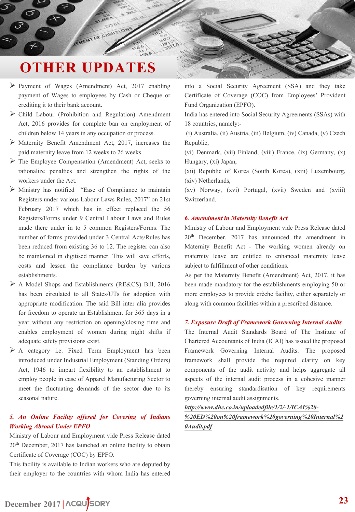# **OTHER UPDATES**

MENT OF CASH FLOW

- Payment of Wages (Amendment) Act, 2017 enabling payment of Wages to employees by Cash or Cheque or crediting it to their bank account.
- $\triangleright$  Child Labour (Prohibition and Regulation) Amendment Act, 2016 provides for complete ban on employment of children below 14 years in any occupation or process.
- Maternity Benefit Amendment Act, 2017, increases the paid maternity leave from 12 weeks to 26 weeks.
- $\triangleright$  The Employee Compensation (Amendment) Act, seeks to rationalize penalties and strengthen the rights of the workers under the Act.
- $\triangleright$  Ministry has notified "Ease of Compliance to maintain Registers under various Labour Laws Rules, 2017" on 21st February 2017 which has in effect replaced the 56 Registers/Forms under 9 Central Labour Laws and Rules made there under in to 5 common Registers/Forms. The number of forms provided under 3 Central Acts/Rules has been reduced from existing 36 to 12. The register can also be maintained in digitised manner. This will save efforts, costs and lessen the compliance burden by various establishments.
- A Model Shops and Establishments (RE&CS) Bill, 2016 has been circulated to all States/UTs for adoption with appropriate modification. The said Bill inter alia provides for freedom to operate an Establishment for 365 days in a year without any restriction on opening/closing time and enables employment of women during night shifts if adequate safety provisions exist.
- $\triangleright$  A category i.e. Fixed Term Employment has been introduced under Industrial Employment (Standing Orders) Act, 1946 to impart flexibility to an establishment to employ people in case of Apparel Manufacturing Sector to meet the fluctuating demands of the sector due to its seasonal nature.

### *5. An Online Facility offered for Covering of Indians Working Abroad Under EPFO*

Ministry of Labour and Employment vide Press Release dated 20th December, 2017 has launched an online facility to obtain Certificate of Coverage (COC) by EPFO.

This facility is available to Indian workers who are deputed by their employer to the countries with whom India has entered into a Social Security Agreement (SSA) and they take Certificate of Coverage (COC) from Employees' Provident Fund Organization (EPFO).

India has entered into Social Security Agreements (SSAs) with 18 countries, namely:-

(i) Australia, (ii) Austria, (iii) Belgium, (iv) Canada, (v) Czech Republic,

(vi) Denmark, (vii) Finland, (viii) France, (ix) Germany, (x) Hungary, (xi) Japan,

(xii) Republic of Korea (South Korea), (xiii) Luxembourg, (xiv) Netherlands,

(xv) Norway, (xvi) Portugal, (xvii) Sweden and (xviii) Switzerland.

### *6. Amendment in Maternity Benefit Act*

Ministry of Labour and Employment vide Press Release dated 20<sup>th</sup> December, 2017 has announced the amendment in Maternity Benefit Act - The working women already on maternity leave are entitled to enhanced maternity leave subject to fulfillment of other conditions.

As per the Maternity Benefit (Amendment) Act, 2017, it has been made mandatory for the establishments employing 50 or more employees to provide crèche facility, either separately or along with common facilities within a prescribed distance.

### *7. Exposure Draft of Framework Governing Internal Audits*

The Internal Audit Standards Board of The Institute of Chartered Accountants of India (ICAI) has issued the proposed Framework Governing Internal Audits. The proposed framework shall provide the required clarity on key components of the audit activity and helps aggregate all aspects of the internal audit process in a cohesive manner thereby ensuring standardisation of key requirements governing internal audit assignments.

*http://www.dhc.co.in/uploadedfile/1/2/-1/ICAI%20-*

### *[%20ED%20on%20framework%20governing%20Internal%2](http://www.dhc.co.in/uploadedfile/1/2/-1/ICAI - ED on framework governing Internal Audit.pdf) 0Audit.pdf*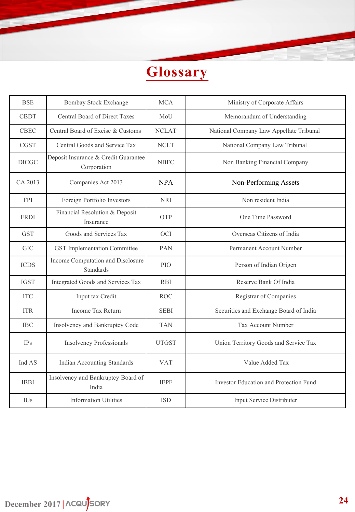

| <b>BSE</b>   | <b>Bombay Stock Exchange</b>                          | <b>MCA</b>      | Ministry of Corporate Affairs           |  |
|--------------|-------------------------------------------------------|-----------------|-----------------------------------------|--|
| <b>CBDT</b>  | Central Board of Direct Taxes                         | MoU             | Memorandum of Understanding             |  |
| <b>CBEC</b>  | Central Board of Excise & Customs                     | <b>NCLAT</b>    | National Company Law Appellate Tribunal |  |
| <b>CGST</b>  | Central Goods and Service Tax                         | <b>NCLT</b>     | National Company Law Tribunal           |  |
| <b>DICGC</b> | Deposit Insurance & Credit Guarantee<br>Corporation   | <b>NBFC</b>     | Non Banking Financial Company           |  |
| CA 2013      | Companies Act 2013                                    | <b>NPA</b>      | Non-Performing Assets                   |  |
| <b>FPI</b>   | Foreign Portfolio Investors                           | <b>NRI</b>      | Non resident India                      |  |
| <b>FRDI</b>  | Financial Resolution & Deposit<br>Insurance           | <b>OTP</b>      | One Time Password                       |  |
| <b>GST</b>   | Goods and Services Tax                                | <b>OCI</b>      | Overseas Citizens of India              |  |
| <b>GIC</b>   | GST Implementation Committee                          | PAN             | Permanent Account Number                |  |
| <b>ICDS</b>  | Income Computation and Disclosure<br><b>Standards</b> | PIO <sub></sub> | Person of Indian Origen                 |  |
| <b>IGST</b>  | Integrated Goods and Services Tax                     | <b>RBI</b>      | Reserve Bank Of India                   |  |
| <b>ITC</b>   | Input tax Credit                                      | <b>ROC</b>      | Registrar of Companies                  |  |
| <b>ITR</b>   | Income Tax Return                                     | <b>SEBI</b>     | Securities and Exchange Board of India  |  |
| <b>IBC</b>   | Insolvency and Bankruptcy Code                        | <b>TAN</b>      | <b>Tax Account Number</b>               |  |
| <b>IPs</b>   | <b>Insolvency Professionals</b>                       | <b>UTGST</b>    | Union Territory Goods and Service Tax   |  |
| Ind AS       | Indian Accounting Standards                           | <b>VAT</b>      | Value Added Tax                         |  |
| <b>IBBI</b>  | Insolvency and Bankruptcy Board of<br>India           | <b>IEPF</b>     | Investor Education and Protection Fund  |  |
| IUs          | <b>Information Utilities</b>                          | <b>ISD</b>      | Input Service Distributer               |  |